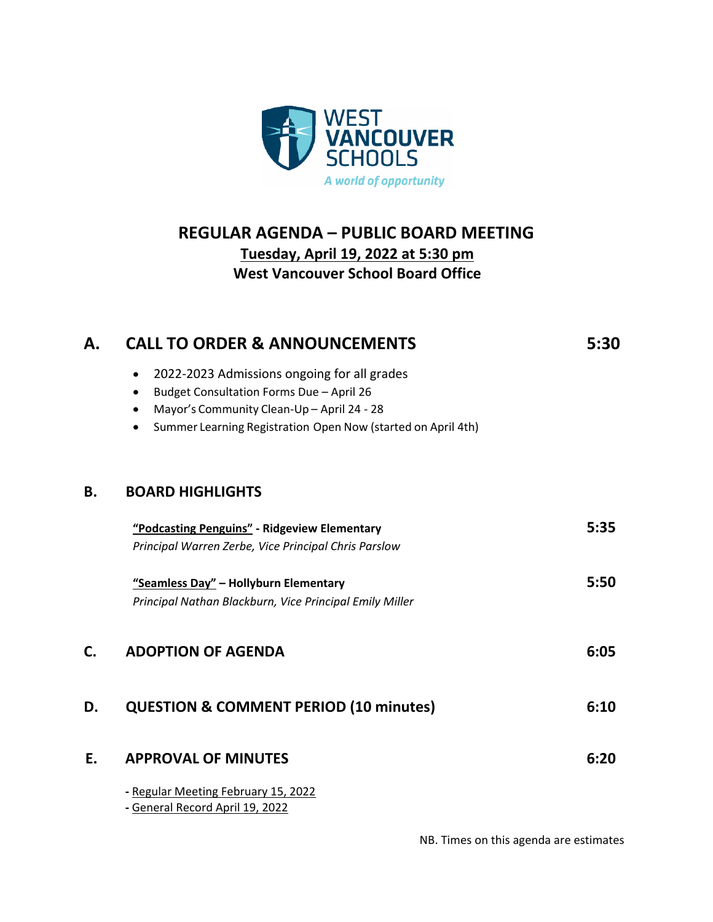

## **REGULAR AGENDA – PUBLIC BOARD MEETING Tuesday, April 19, 2022 at 5:30 pm West Vancouver School Board Office**

| А. | <b>CALL TO ORDER &amp; ANNOUNCEMENTS</b>                                  | 5:30 |
|----|---------------------------------------------------------------------------|------|
|    | 2022-2023 Admissions ongoing for all grades<br>$\bullet$                  |      |
|    | Budget Consultation Forms Due - April 26<br>$\bullet$                     |      |
|    | Mayor's Community Clean-Up - April 24 - 28<br>$\bullet$                   |      |
|    | Summer Learning Registration Open Now (started on April 4th)<br>$\bullet$ |      |
| В. | <b>BOARD HIGHLIGHTS</b>                                                   |      |
|    | "Podcasting Penguins" - Ridgeview Elementary                              | 5:35 |
|    | Principal Warren Zerbe, Vice Principal Chris Parslow                      |      |
|    | "Seamless Day" - Hollyburn Elementary                                     | 5:50 |
|    | Principal Nathan Blackburn, Vice Principal Emily Miller                   |      |
| C. | <b>ADOPTION OF AGENDA</b>                                                 | 6:05 |
| D. | <b>QUESTION &amp; COMMENT PERIOD (10 minutes)</b>                         | 6:10 |
| E. | <b>APPROVAL OF MINUTES</b>                                                | 6:20 |
|    | - Regular Meeting February 15, 2022<br>- General Record April 19, 2022    |      |

NB. Times on this agenda are estimates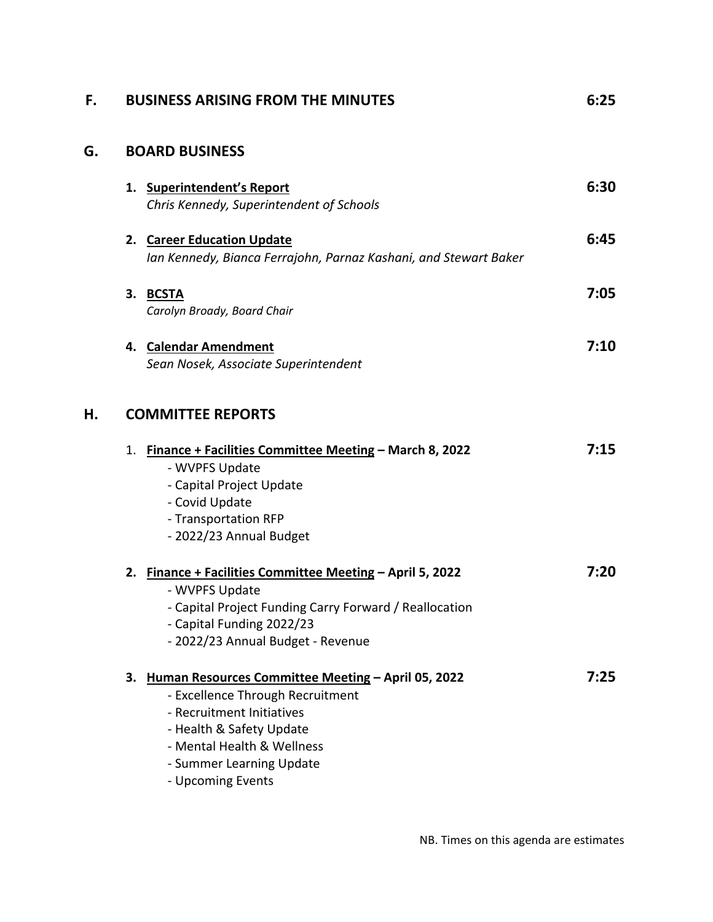| F. | <b>BUSINESS ARISING FROM THE MINUTES</b>                                                                                                                                                                                          | 6:25 |
|----|-----------------------------------------------------------------------------------------------------------------------------------------------------------------------------------------------------------------------------------|------|
| G. | <b>BOARD BUSINESS</b>                                                                                                                                                                                                             |      |
|    | <b>Superintendent's Report</b><br>1.<br>Chris Kennedy, Superintendent of Schools                                                                                                                                                  | 6:30 |
|    | 2. Career Education Update<br>Ian Kennedy, Bianca Ferrajohn, Parnaz Kashani, and Stewart Baker                                                                                                                                    | 6:45 |
|    | 3. BCSTA<br>Carolyn Broady, Board Chair                                                                                                                                                                                           | 7:05 |
|    | 4. Calendar Amendment<br>Sean Nosek, Associate Superintendent                                                                                                                                                                     | 7:10 |
| Н. | <b>COMMITTEE REPORTS</b>                                                                                                                                                                                                          |      |
|    | 1. Finance + Facilities Committee Meeting - March 8, 2022<br>- WVPFS Update<br>- Capital Project Update<br>- Covid Update<br>- Transportation RFP<br>- 2022/23 Annual Budget                                                      | 7:15 |
|    | 2. Finance + Facilities Committee Meeting - April 5, 2022<br>- WVPFS Update<br>- Capital Project Funding Carry Forward / Reallocation<br>- Capital Funding 2022/23<br>- 2022/23 Annual Budget - Revenue                           | 7:20 |
|    | 3. Human Resources Committee Meeting - April 05, 2022<br>- Excellence Through Recruitment<br>- Recruitment Initiatives<br>- Health & Safety Update<br>- Mental Health & Wellness<br>- Summer Learning Update<br>- Upcoming Events | 7:25 |